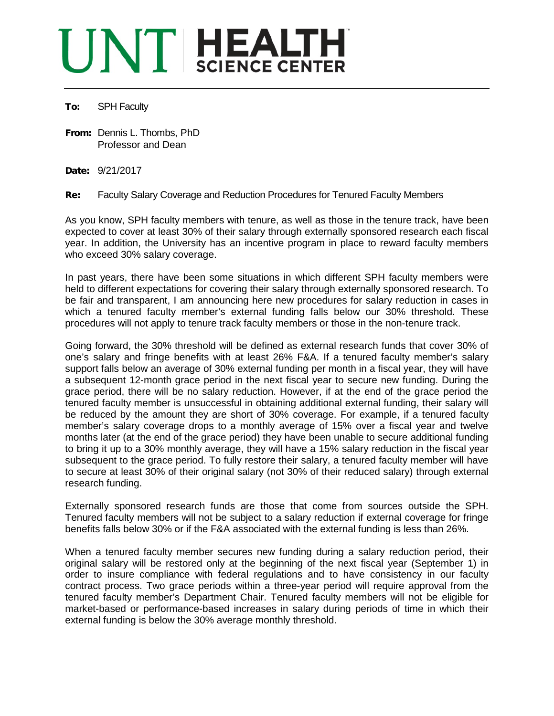## UNT HEALTH

## To: SPH Faculty

From: Dennis L. Thombs, PhD Professor and Dean

Date: 9/21/2017

Re: Faculty Salary Coverage and Reduction Procedures for Tenured Faculty Members

As you know, SPH faculty members with tenure, as well as those in the tenure track, have been expected to cover at least 30% of their salary through externally sponsored research each fiscal year. In addition, the University has an incentive program in place to reward faculty members who exceed 30% salary coverage.

In past years, there have been some situations in which different SPH faculty members were held to different expectations for covering their salary through externally sponsored research. To be fair and transparent, I am announcing here new procedures for salary reduction in cases in which a tenured faculty member's external funding falls below our 30% threshold. These procedures will not apply to tenure track faculty members or those in the non-tenure track.

Going forward, the 30% threshold will be defined as external research funds that cover 30% of one's salary and fringe benefits with at least 26% F&A. If a tenured faculty member's salary support falls below an average of 30% external funding per month in a fiscal year, they will have a subsequent 12-month grace period in the next fiscal year to secure new funding. During the grace period, there will be no salary reduction. However, if at the end of the grace period the tenured faculty member is unsuccessful in obtaining additional external funding, their salary will be reduced by the amount they are short of 30% coverage. For example, if a tenured faculty member's salary coverage drops to a monthly average of 15% over a fiscal year and twelve months later (at the end of the grace period) they have been unable to secure additional funding to bring it up to a 30% monthly average, they will have a 15% salary reduction in the fiscal year subsequent to the grace period. To fully restore their salary, a tenured faculty member will have to secure at least 30% of their original salary (not 30% of their reduced salary) through external research funding.

Externally sponsored research funds are those that come from sources outside the SPH. Tenured faculty members will not be subject to a salary reduction if external coverage for fringe benefits falls below 30% or if the F&A associated with the external funding is less than 26%.

When a tenured faculty member secures new funding during a salary reduction period, their original salary will be restored only at the beginning of the next fiscal year (September 1) in order to insure compliance with federal regulations and to have consistency in our faculty contract process. Two grace periods within a three-year period will require approval from the tenured faculty member's Department Chair. Tenured faculty members will not be eligible for market-based or performance-based increases in salary during periods of time in which their external funding is below the 30% average monthly threshold.